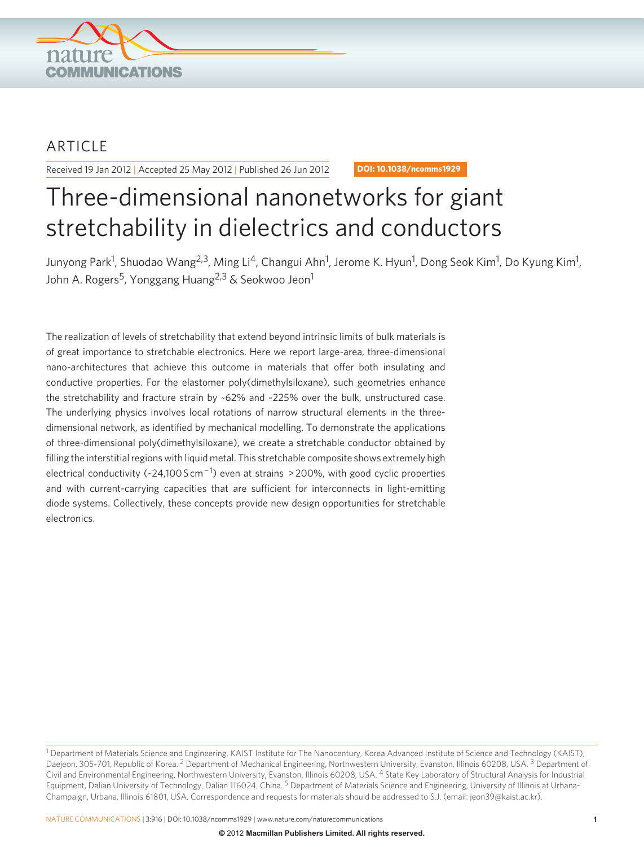

## ARTICLE

Received 19 Jan 2012 | Accepted 25 May 2012 | Published 26 Jun 2012 **DOI: 10.1038/ncomms1929** 

# Three-dimensional nanonetworks for giant stretchability in dielectrics and conductors

Junyong Park<sup>1</sup>, Shuodao Wang<sup>2,3</sup>, Ming Li<sup>4</sup>, Changui Ahn<sup>1</sup>, Jerome K. Hyun<sup>1</sup>, Dong Seok Kim<sup>1</sup>, Do Kyung Kim<sup>1</sup>, John A. Rogers<sup>5</sup>, Yonggang Huang<sup>2,3</sup> & Seokwoo Jeon<sup>1</sup>

 The realization of levels of stretchability that extend beyond intrinsic limits of bulk materials is of great importance to stretchable electronics. Here we report large-area, three-dimensional nano-architectures that achieve this outcome in materials that offer both insulating and conductive properties. For the elastomer poly(dimethylsiloxane), such geometries enhance the stretchability and fracture strain by ~62% and ~225% over the bulk, unstructured case. The underlying physics involves local rotations of narrow structural elements in the threedimensional network, as identified by mechanical modelling. To demonstrate the applications of three-dimensional poly(dimethylsiloxane), we create a stretchable conductor obtained by filling the interstitial regions with liquid metal. This stretchable composite shows extremely high electrical conductivity ( $\sim$ 24,100 S cm<sup>-1</sup>) even at strains > 200%, with good cyclic properties and with current-carrying capacities that are sufficient for interconnects in light-emitting diode systems. Collectively, these concepts provide new design opportunities for stretchable electronics.

<sup>&</sup>lt;sup>1</sup> Department of Materials Science and Engineering, KAIST Institute for The Nanocentury, Korea Advanced Institute of Science and Technology (KAIST), Daejeon, 305-701, Republic of Korea. <sup>2</sup> Department of Mechanical Engineering, Northwestern University, Evanston, Illinois 60208, USA. <sup>3</sup> Department of Civil and Environmental Engineering, Northwestern University, Evanston, Illinois 60208, USA. 4 State Key Laboratory of Structural Analysis for Industrial Equipment, Dalian University of Technology, Dalian 116024, China.<sup>5</sup> Department of Materials Science and Engineering, University of Illinois at Urbana-Champaign, Urbana, Illinois 61801, USA. Correspondence and requests for materials should be addressed to S.J. (email: jeon39@kaist.ac.kr).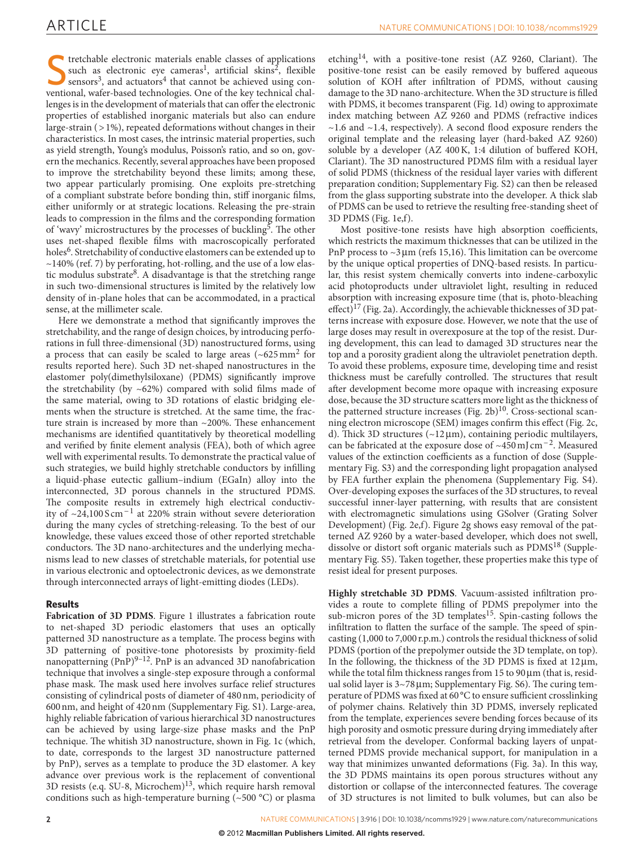stretchable electronic materials enable classes of applications such as electronic eye cameras<sup>1</sup>, artificial skins<sup>2</sup>, flexible sensors<sup>3</sup>, and actuators<sup>4</sup> that cannot be achieved using conventional, wafer-based technolo tretchable electronic materials enable classes of applications such as electronic eye cameras<sup>1</sup>, artificial skins<sup>2</sup>, flexible sensors<sup>3</sup>, and actuators<sup>4</sup> that cannot be achieved using conlenges is in the development of materials that can offer the electronic properties of established inorganic materials but also can endure large-strain  $($  > 1%), repeated deformations without changes in their characteristics. In most cases, the intrinsic material properties, such as yield strength, Young's modulus, Poisson's ratio, and so on, govern the mechanics. Recently, several approaches have been proposed to improve the stretchability beyond these limits; among these, two appear particularly promising. One exploits pre-stretching of a compliant substrate before bonding thin, stiff inorganic films, either uniformly or at strategic locations. Releasing the pre-strain leads to compression in the films and the corresponding formation of 'wavy' microstructures by the processes of buckling<sup>5</sup>. The other uses net-shaped flexible films with macroscopically perforated holes<sup>6</sup>. Stretchability of conductive elastomers can be extended up to  $\sim$ 140% (ref. 7) by perforating, hot-rolling, and the use of a low elastic modulus substrate<sup>8</sup>. A disadvantage is that the stretching range in such two-dimensional structures is limited by the relatively low density of in-plane holes that can be accommodated, in a practical sense, at the millimeter scale.

Here we demonstrate a method that significantly improves the stretchability, and the range of design choices, by introducing perforations in full three-dimensional (3D) nanostructured forms, using a process that can easily be scaled to large areas  $({\sim}625 \,\mathrm{mm}^2)$  for results reported here). Such 3D net-shaped nanostructures in the elastomer poly(dimethylsiloxane) (PDMS) significantly improve the stretchability (by  $\sim 62\%$ ) compared with solid films made of the same material, owing to 3D rotations of elastic bridging elements when the structure is stretched. At the same time, the fracture strain is increased by more than  $\sim$ 200%. These enhancement mechanisms are identified quantitatively by theoretical modelling and verified by finite element analysis (FEA), both of which agree well with experimental results. To demonstrate the practical value of such strategies, we build highly stretchable conductors by infilling a liquid-phase eutectic gallium-indium (EGaIn) alloy into the interconnected, 3D porous channels in the structured PDMS. The composite results in extremely high electrical conductivity of  $\sim$ 24,100 S cm<sup>-1</sup> at 220% strain without severe deterioration during the many cycles of stretching-releasing. To the best of our knowledge, these values exceed those of other reported stretchable conductors. The 3D nano-architectures and the underlying mechanisms lead to new classes of stretchable materials, for potential use in various electronic and optoelectronic devices, as we demonstrate through interconnected arrays of light-emitting diodes (LEDs).

#### **Results**

Fabrication of 3D PDMS. Figure 1 illustrates a fabrication route to net-shaped 3D periodic elastomers that uses an optically patterned 3D nanostructure as a template. The process begins with 3D patterning of positive-tone photoresists by proximity-field nanopatterning  $(PnP)^{9-12}$ . PnP is an advanced 3D nanofabrication technique that involves a single-step exposure through a conformal phase mask. The mask used here involves surface relief structures consisting of cylindrical posts of diameter of 480 nm, periodicity of 600 nm, and height of 420 nm ( Supplementary Fig. S1 ). Large-area, highly reliable fabrication of various hierarchical 3D nanostructures can be achieved by using large-size phase masks and the PnP technique. The whitish 3D nanostructure, shown in Fig. 1c (which, to date, corresponds to the largest 3D nanostructure patterned by PnP), serves as a template to produce the 3D elastomer. A key advance over previous work is the replacement of conventional 3D resists (e.q. SU-8, Microchem)<sup>13</sup>, which require harsh removal conditions such as high-temperature burning ( $\sim$ 500 °C) or plasma

etching<sup>14</sup>, with a positive-tone resist (AZ 9260, Clariant). The positive-tone resist can be easily removed by buffered aqueous solution of KOH after infiltration of PDMS, without causing damage to the 3D nano-architecture. When the 3D structure is filled with PDMS, it becomes transparent (Fig. 1d) owing to approximate index matching between AZ 9260 and PDMS (refractive indices  $\sim$  1.6 and  $\sim$  1.4, respectively). A second flood exposure renders the original template and the releasing layer (hard-baked AZ 9260) soluble by a developer (AZ 400 K, 1:4 dilution of buffered KOH, Clariant). The 3D nanostructured PDMS film with a residual layer of solid PDMS (thickness of the residual layer varies with different preparation condition; Supplementary Fig. S2) can then be released from the glass supporting substrate into the developer. A thick slab of PDMS can be used to retrieve the resulting free-standing sheet of 3D PDMS (Fig. 1e,f).

Most positive-tone resists have high absorption coefficients, which restricts the maximum thicknesses that can be utilized in the PnP process to  $\sim$ 3 µm (refs 15,16). This limitation can be overcome by the unique optical properties of DNQ-based resists. In particular, this resist system chemically converts into indene-carboxylic acid photoproducts under ultraviolet light, resulting in reduced absorption with increasing exposure time (that is, photo-bleaching effect)<sup>17</sup> (Fig. 2a). Accordingly, the achievable thicknesses of 3D patterns increase with exposure dose. However, we note that the use of large doses may result in overexposure at the top of the resist. During development, this can lead to damaged 3D structures near the top and a porosity gradient along the ultraviolet penetration depth. To avoid these problems, exposure time, developing time and resist thickness must be carefully controlled. The structures that result after development become more opaque with increasing exposure dose, because the 3D structure scatters more light as the thickness of the patterned structure increases (Fig. 2b)<sup>10</sup>. Cross-sectional scanning electron microscope (SEM) images confirm this effect (Fig. 2c, d). Thick 3D structures  $(\sim 12 \,\mu\text{m})$ , containing periodic multilayers, can be fabricated at the exposure dose of  $\sim$ 450 mJ cm<sup>-2</sup>. Measured values of the extinction coefficients as a function of dose (Supplementary Fig. S3 ) and the corresponding light propagation analysed by FEA further explain the phenomena (Supplementary Fig. S4). Over-developing exposes the surfaces of the 3D structures, to reveal successful inner-layer patterning, with results that are consistent with electromagnetic simulations using GSolver (Grating Solver Development) (Fig. 2e,f). Figure 2g shows easy removal of the patterned AZ 9260 by a water-based developer, which does not swell, dissolve or distort soft organic materials such as PDMS<sup>18</sup> (Supplementary Fig. S5). Taken together, these properties make this type of resist ideal for present purposes.

Highly stretchable 3D PDMS. Vacuum-assisted infiltration provides a route to complete filling of PDMS prepolymer into the sub-micron pores of the 3D templates<sup>15</sup>. Spin-casting follows the infiltration to flatten the surface of the sample. The speed of spincasting (1,000 to 7,000 r.p.m.) controls the residual thickness of solid PDMS (portion of the prepolymer outside the 3D template, on top). In the following, the thickness of the 3D PDMS is fixed at  $12\,\mu\text{m}$ , while the total film thickness ranges from 15 to  $90 \mu m$  (that is, residual solid layer is  $3~78 \mu m$ ; Supplementary Fig. S6). The curing temperature of PDMS was fixed at 60 °C to ensure sufficient crosslinking of polymer chains. Relatively thin 3D PDMS, inversely replicated from the template, experiences severe bending forces because of its high porosity and osmotic pressure during drying immediately after retrieval from the developer. Conformal backing layers of unpatterned PDMS provide mechanical support, for manipulation in a way that minimizes unwanted deformations (Fig. 3a). In this way, the 3D PDMS maintains its open porous structures without any distortion or collapse of the interconnected features. The coverage of 3D structures is not limited to bulk volumes, but can also be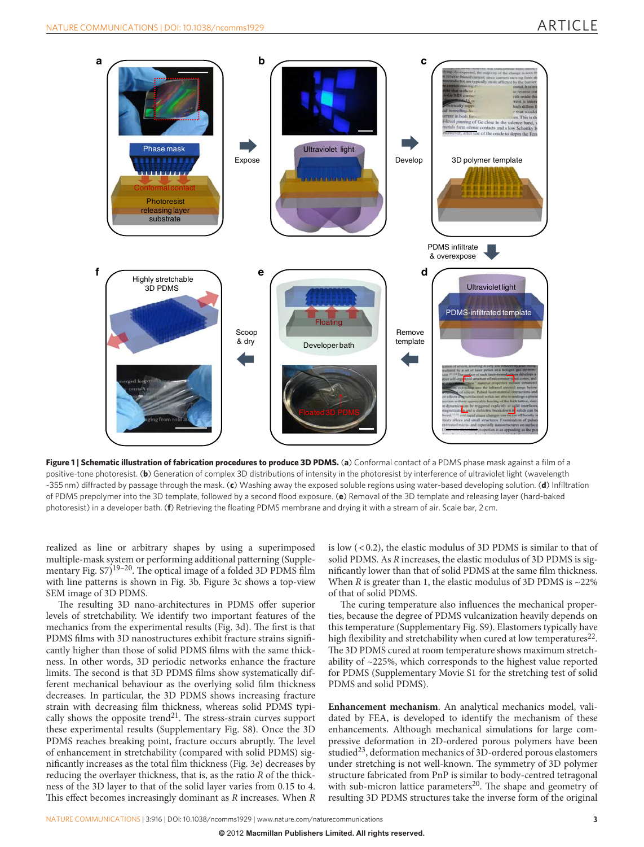### ARTICLE



Figure 1 | Schematic illustration of fabrication procedures to produce 3D PDMS. (a) Conformal contact of a PDMS phase mask against a film of a positive-tone photoresist. (**b**) Generation of complex 3D distributions of intensity in the photoresist by interference of ultraviolet light (wavelength ~355 nm) diffracted by passage through the mask. (c) Washing away the exposed soluble regions using water-based developing solution. (d) Infiltration of PDMS prepolymer into the 3D template, followed by a second flood exposure. (e) Removal of the 3D template and releasing layer (hard-baked photoresist) in a developer bath. (**f**) Retrieving the floating PDMS membrane and drying it with a stream of air. Scale bar, 2 cm.

realized as line or arbitrary shapes by using a superimposed multiple-mask system or performing additional patterning (Supplementary Fig.  $57)^{19-20}$ . The optical image of a folded 3D PDMS film with line patterns is shown in Fig. 3b. Figure 3c shows a top-view SEM image of 3D PDMS.

The resulting 3D nano-architectures in PDMS offer superior levels of stretchability. We identify two important features of the mechanics from the experimental results (Fig. 3d). The first is that PDMS films with 3D nanostructures exhibit fracture strains significantly higher than those of solid PDMS films with the same thickness. In other words, 3D periodic networks enhance the fracture limits. The second is that 3D PDMS films show systematically different mechanical behaviour as the overlying solid film thickness decreases. In particular, the 3D PDMS shows increasing fracture strain with decreasing film thickness, whereas solid PDMS typically shows the opposite trend<sup>21</sup>. The stress-strain curves support these experimental results (Supplementary Fig. S8). Once the 3D PDMS reaches breaking point, fracture occurs abruptly. The level of enhancement in stretchability (compared with solid PDMS) significantly increases as the total film thickness (Fig. 3e) decreases by reducing the overlayer thickness, that is, as the ratio *R* of the thickness of the 3D layer to that of the solid layer varies from 0.15 to 4. This effect becomes increasingly dominant as *R* increases. When *R*  is low ( < 0.2), the elastic modulus of 3D PDMS is similar to that of solid PDMS. As *R* increases, the elastic modulus of 3D PDMS is significantly lower than that of solid PDMS at the same film thickness. When  $\overline{R}$  is greater than 1, the elastic modulus of 3D PDMS is  $\sim$ 22% of that of solid PDMS.

The curing temperature also influences the mechanical properties, because the degree of PDMS vulcanization heavily depends on this temperature (Supplementary Fig. S9). Elastomers typically have high flexibility and stretchability when cured at low temperatures<sup>22</sup>. The 3D PDMS cured at room temperature shows maximum stretchability of  $\sim$ 225%, which corresponds to the highest value reported for PDMS (Supplementary Movie S1 for the stretching test of solid PDMS and solid PDMS).

**Enhancement mechanism** . An analytical mechanics model, validated by FEA, is developed to identify the mechanism of these enhancements. Although mechanical simulations for large compressive deformation in 2D-ordered porous polymers have been studied<sup>23</sup>, deformation mechanics of 3D-ordered porous elastomers under stretching is not well-known. The symmetry of 3D polymer structure fabricated from PnP is similar to body-centred tetragonal with sub-micron lattice parameters<sup>20</sup>. The shape and geometry of resulting 3D PDMS structures take the inverse form of the original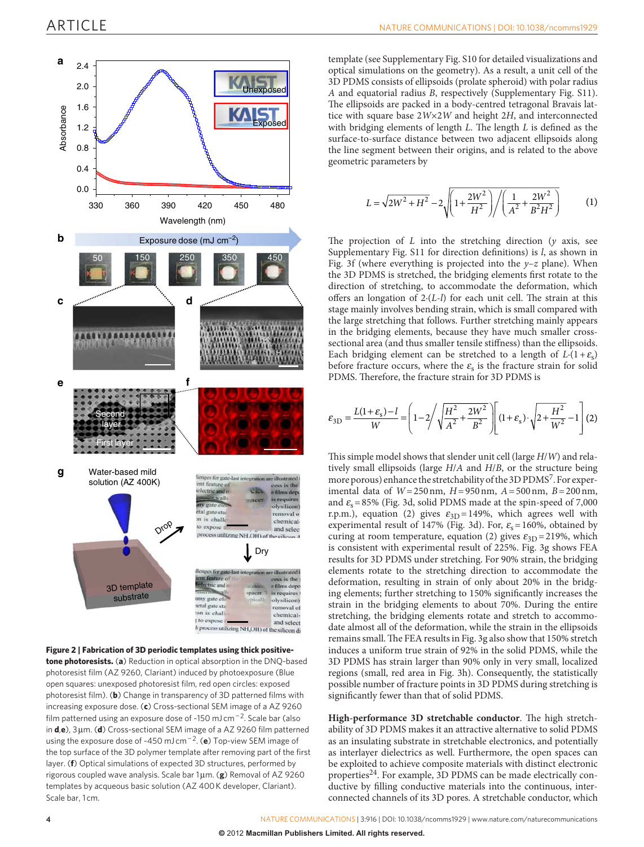

#### **Figure 2 | Fabrication of 3D periodic templates using thick positivetone photoresists.** (a) Reduction in optical absorption in the DNQ-based photoresist film (AZ 9260, Clariant) induced by photoexposure (Blue open squares: unexposed photoresist film, red open circles: exposed photoresist film). (b) Change in transparency of 3D patterned films with increasing exposure dose. (c) Cross-sectional SEM image of a AZ 9260 film patterned using an exposure dose of ~150 mJ cm<sup>-2</sup>. Scale bar (also in **d**, e), 3 μm. (d) Cross-sectional SEM image of a AZ 9260 film patterned using the exposure dose of ~450 mJ cm<sup>-2</sup>. (e) Top-view SEM image of the top surface of the 3D polymer template after removing part of the first layer. (f) Optical simulations of expected 3D structures, performed by rigorous coupled wave analysis. Scale bar 1μm. (g) Removal of AZ 9260 templates by acqueous basic solution (AZ 400 K developer, Clariant). Scale bar, 1 cm.

template (see Supplementary Fig. S10 for detailed visualizations and optical simulations on the geometry). As a result, a unit cell of the 3D PDMS consists of ellipsoids (prolate spheroid) with polar radius *A* and equatorial radius *B*, respectively (Supplementary Fig. S11). The ellipsoids are packed in a body-centred tetragonal Bravais lattice with square base  $2W \times 2W$  and height 2H, and interconnected with bridging elements of length *L*. The length *L* is defined as the surface-to-surface distance between two adjacent ellipsoids along the line segment between their origins, and is related to the above geometric parameters by

$$
L = \sqrt{2W^2 + H^2} - 2\sqrt{\left(1 + \frac{2W^2}{H^2}\right) / \left(\frac{1}{A^2} + \frac{2W^2}{B^2H^2}\right)}\tag{1}
$$

The projection of  $L$  into the stretching direction  $(y$  axis, see Supplementary Fig. S11 for direction definitions) is *l*, as shown in Fig. 3f (where everything is projected into the  $y-z$  plane). When the 3D PDMS is stretched, the bridging elements first rotate to the direction of stretching, to accommodate the deformation, which offers an longation of 2 (L-l) for each unit cell. The strain at this stage mainly involves bending strain, which is small compared with the large stretching that follows. Further stretching mainly appears in the bridging elements, because they have much smaller crosssectional area (and thus smaller tensile stiffness) than the ellipsoids. Each bridging element can be stretched to a length of  $L(1+\varepsilon_s)$ before fracture occurs, where the  $\varepsilon$  is the fracture strain for solid PDMS. Therefore, the fracture strain for 3D PDMS is

$$
\varepsilon_{3D} = \frac{L(1+\varepsilon_{\rm s})-l}{W} = \left(1 - 2\sqrt{\sqrt{\frac{H^2}{A^2} + \frac{2W^2}{B^2}}}\right) \left[ (1+\varepsilon_{\rm s}) \cdot \sqrt{2 + \frac{H^2}{W^2}} - 1 \right] (2)
$$

This simple model shows that slender unit cell (large  $H/W$ ) and relatively small ellipsoids (large  $H/A$  and  $H/B$ , or the structure being more porous) enhance the stretchability of the 3D PDMS<sup>7</sup>. For experimental data of *W* = 250 nm, *H* = 950 nm, *A* = 500 nm, *B* = 200 nm, and  $\varepsilon_s = 85\%$  (Fig. 3d, solid PDMS made at the spin-speed of 7,000 r.p.m.), equation (2) gives  $\varepsilon_{3D} = 149\%$ , which agrees well with experimental result of 147% (Fig. 3d). For,  $\varepsilon_s = 160\%$ , obtained by curing at room temperature, equation (2) gives  $\varepsilon_{3D} = 219\%$ , which is consistent with experimental result of 225%. Fig. 3g shows FEA results for 3D PDMS under stretching. For 90% strain, the bridging elements rotate to the stretching direction to accommodate the deformation, resulting in strain of only about 20% in the bridging elements; further stretching to 150% significantly increases the strain in the bridging elements to about 70%. During the entire stretching, the bridging elements rotate and stretch to accommodate almost all of the deformation, while the strain in the ellipsoids remains small. The FEA results in Fig. 3g also show that 150% stretch induces a uniform true strain of 92% in the solid PDMS, while the 3D PDMS has strain larger than 90% only in very small, localized regions (small, red area in Fig. 3h). Consequently, the statistically possible number of fracture points in 3D PDMS during stretching is significantly fewer than that of solid PDMS.

High-performance 3D stretchable conductor. The high stretchability of 3D PDMS makes it an attractive alternative to solid PDMS as an insulating substrate in stretchable electronics, and potentially as interlayer dielectrics as well. Furthermore, the open spaces can be exploited to achieve composite materials with distinct electronic properties<sup>24</sup>. For example, 3D PDMS can be made electrically conductive by filling conductive materials into the continuous, interconnected channels of its 3D pores. A stretchable conductor, which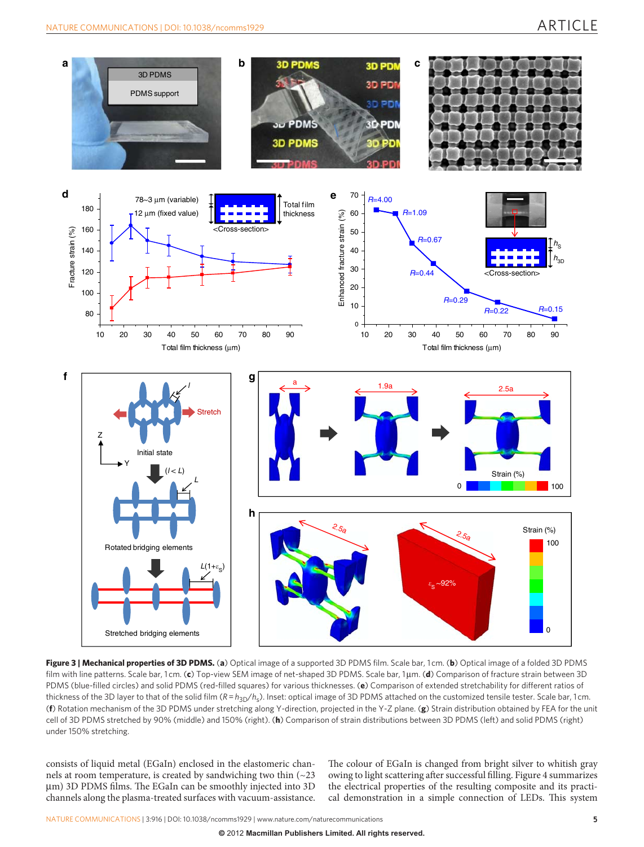

Figure 3 | Mechanical properties of 3D PDMS. (a) Optical image of a supported 3D PDMS film. Scale bar, 1cm. (b) Optical image of a folded 3D PDMS film with line patterns. Scale bar, 1 cm. (c) Top-view SEM image of net-shaped 3D PDMS. Scale bar, 1μm. (d) Comparison of fracture strain between 3D PDMS (blue-filled circles) and solid PDMS (red-filled squares) for various thicknesses. (e) Comparison of extended stretchability for different ratios of thickness of the 3D layer to that of the solid film  $(R = h_{3D}/h_s)$ . Inset: optical image of 3D PDMS attached on the customized tensile tester. Scale bar, 1 cm. ( **f** ) Rotation mechanism of the 3D PDMS under stretching along Y-direction, projected in the Y-Z plane. ( **g** ) Strain distribution obtained by FEA for the unit cell of 3D PDMS stretched by 90% (middle) and 150% (right). (**h**) Comparison of strain distributions between 3D PDMS (left) and solid PDMS (right) under 150% stretching.

consists of liquid metal (EGaIn) enclosed in the elastomeric channels at room temperature, is created by sandwiching two thin  $\left( \sim 23 \right)$ μm) 3D PDMS films. The EGaIn can be smoothly injected into 3D channels along the plasma-treated surfaces with vacuum-assistance. The colour of EGaIn is changed from bright silver to whitish gray owing to light scattering after successful filling. Figure 4 summarizes the electrical properties of the resulting composite and its practical demonstration in a simple connection of LEDs. This system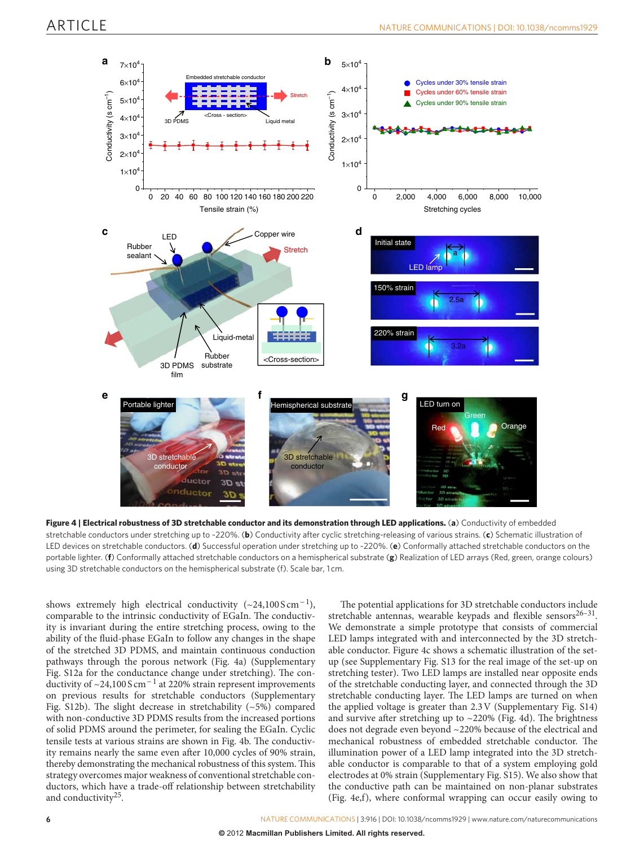

Figure 4 | Electrical robustness of 3D stretchable conductor and its demonstration through LED applications. (a) Conductivity of embedded stretchable conductors under stretching up to ~ 220 % . ( **b** ) Conductivity after cyclic stretching-releasing of various strains. ( **c** ) Schematic illustration of LED devices on stretchable conductors. ( **d** ) Successful operation under stretching up to ~ 220 % . ( **e** ) Conformally attached stretchable conductors on the portable lighter. (**f**) Conformally attached stretchable conductors on a hemispherical substrate (**g**) Realization of LED arrays (Red, green, orange colours) using 3D stretchable conductors on the hemispherical substrate (f). Scale bar, 1 cm.

shows extremely high electrical conductivity  $(\sim 24,100 \text{ S cm}^{-1})$ , comparable to the intrinsic conductivity of EGaIn. The conductivity is invariant during the entire stretching process, owing to the ability of the fluid-phase EGaIn to follow any changes in the shape of the stretched 3D PDMS, and maintain continuous conduction pathways through the porous network (Fig. 4a) (Supplementary Fig. S12a for the conductance change under stretching). The conductivity of ~24,100 S cm<sup>-1</sup> at 220% strain represent improvements on previous results for stretchable conductors ( Supplementary Fig. S12b). The slight decrease in stretchability  $(\sim 5\%)$  compared with non-conductive 3D PDMS results from the increased portions of solid PDMS around the perimeter, for sealing the EGaIn. Cyclic tensile tests at various strains are shown in Fig. 4b. The conductivity remains nearly the same even after 10,000 cycles of 90% strain, thereby demonstrating the mechanical robustness of this system. This strategy overcomes major weakness of conventional stretchable conductors, which have a trade-off relationship between stretchability and conductivity<sup>25</sup>.

The potential applications for 3D stretchable conductors include stretchable antennas, wearable keypads and flexible sensors $26-31$ . We demonstrate a simple prototype that consists of commercial LED lamps integrated with and interconnected by the 3D stretchable conductor. Figure 4c shows a schematic illustration of the setup (see Supplementary Fig. S13 for the real image of the set-up on stretching tester). Two LED lamps are installed near opposite ends of the stretchable conducting layer, and connected through the 3D stretchable conducting layer. The LED lamps are turned on when the applied voltage is greater than  $2.3 \text{V}$  (Supplementary Fig. S14) and survive after stretching up to  $\sim$  220% (Fig. 4d). The brightness does not degrade even beyond ~220% because of the electrical and mechanical robustness of embedded stretchable conductor. The illumination power of a LED lamp integrated into the 3D stretchable conductor is comparable to that of a system employing gold electrodes at 0% strain (Supplementary Fig. S15). We also show that the conductive path can be maintained on non-planar substrates (Fig. 4e,f), where conformal wrapping can occur easily owing to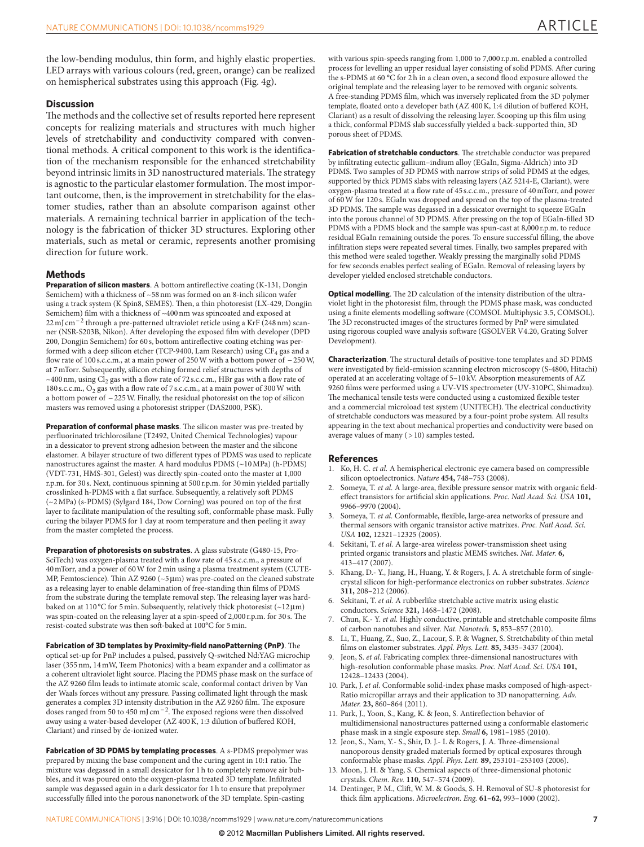the low-bending modulus, thin form, and highly elastic properties . LED arrays with various colours (red, green, orange) can be realized on hemispherical substrates using this approach (Fig. 4g).

#### **Discussion**

The methods and the collective set of results reported here represent concepts for realizing materials and structures with much higher levels of stretchability and conductivity compared with conventional methods. A critical component to this work is the identification of the mechanism responsible for the enhanced stretchability beyond intrinsic limits in 3D nanostructured materials. The strategy is agnostic to the particular elastomer formulation. The most important outcome, then, is the improvement in stretchability for the elastomer studies, rather than an absolute comparison against other materials. A remaining technical barrier in application of the technology is the fabrication of thicker 3D structures. Exploring other materials, such as metal or ceramic, represents another promising direction for future work.

#### **Methods**

**Preparation of silicon masters**. A bottom antireflective coating (K-131, Dongin Semichem) with a thickness of  $~58 \, \mathrm{nm}$  was formed on an 8-inch silicon wafer using a track system (K Spin8, SEMES). Then, a thin photoresist (LX-429, Dongjin Semichem) film with a thickness of  $~400$  nm was spincoated and exposed at 22 mJ cm<sup>-2</sup> through a pre-patterned ultraviolet reticle using a KrF (248 nm) scanner (NSR-S203B, Nikon). After developing the exposed film with developer (DPD 200, Dongjin Semichem) for 60 s, bottom antireflective coating etching was performed with a deep silicon etcher (TCP-9400, Lam Research) using  $\rm CF_4$  gas and a flow rate of 100 s.c.c.m., at a main power of 250 W with a bottom power of −250 W, at 7 mTorr. Subsequently, silicon etching formed relief structures with depths of ~400 nm, using  $Cl_2$  gas with a flow rate of 72 s.c.c.m., HBr gas with a flow rate of 180 s.c.c.m.,  $O_2$  gas with a flow rate of 7 s.c.c.m., at a main power of 300 W with a bottom power of − 225 W. Finally, the residual photoresist on the top of silicon masters was removed using a photoresist stripper (DAS2000, PSK).

**Preparation of conformal phase masks**. The silicon master was pre-treated by perfluorinated trichlorosilane (T2492, United Chemical Technologies) vapour in a dessicator to prevent strong adhesion between the master and the silicone elastomer. A bilayer structure of two different types of PDMS was used to replicate nanostructures against the master. A hard modulus PDMS (~10 MPa) (h-PDMS) (VDT-731, HMS-301, Gelest) was directly spin-coated onto the master at 1,000 r.p.m. for 30 s. Next, continuous spinning at 500 r.p.m. for 30 min yielded partially crosslinked h-PDMS with a flat surface. Subsequently, a relatively soft PDMS  $(\sim2 \text{ MPa})$  (s-PDMS) (Sylgard 184, Dow Corning) was poured on top of the first layer to facilitate manipulation of the resulting soft, conformable phase mask. Fully curing the bilayer PDMS for 1 day at room temperature and then peeling it away from the master completed the process.

**Preparation of photoresists on substrates**. A glass substrate (G480-15, Pro-SciTech) was oxygen-plasma treated with a flow rate of 45 s.c.c.m., a pressure of 40 mTorr, and a power of 60 W for 2 min using a plasma treatment system ( CUTE-MP, Femtoscience). Thin AZ 9260 ( $\sim$ 5 µm) was pre-coated on the cleaned substrate as a releasing layer to enable delamination of free-standing thin films of PDMS from the substrate during the template removal step. The releasing layer was hardbaked on at 110 °C for 5 min. Subsequently, relatively thick photoresist (~12 $\mu$ m) was spin-coated on the releasing layer at a spin-speed of  $2,000$  r.p.m. for  $30$  s. The resist-coated substrate was then soft-baked at 100°C for 5 min.

Fabrication of 3D templates by Proximity-field nanoPatterning (PnP). The optical set-up for PnP includes a pulsed, passively Q-switched Nd:YAG microchip laser (355 nm, 14 mW, Teem Photonics) with a beam expander and a collimator as a coherent ultraviolet light source. Placing the PDMS phase mask on the surface of the AZ 9260 film leads to intimate atomic scale, conformal contact driven by Van der Waals forces without any pressure. Passing collimated light through the mask generates a complex 3D intensity distribution in the AZ 9260 film. The exposure doses ranged from 50 to 450 mJ cm<sup>-2</sup>. The exposed regions were then dissolved away using a water-based developer (AZ 400 K, 1:3 dilution of buffered KOH, Clariant) and rinsed by de-ionized water.

**Fabrication of 3D PDMS by templating processes** . A s-PDMS prepolymer was prepared by mixing the base component and the curing agent in 10:1 ratio. The mixture was degassed in a small dessicator for 1 h to completely remove air bubbles, and it was poured onto the oxygen-plasma treated 3D template. Infiltrated sample was degassed again in a dark dessicator for 1 h to ensure that prepolymer successfully filled into the porous nanonetwork of the 3D template. Spin-casting

with various spin-speeds ranging from 1,000 to 7,000 r.p.m. enabled a controlled process for levelling an upper residual layer consisting of solid PDMS. After curing the s-PDMS at 60 °C for 2 h in a clean oven, a second flood exposure allowed the original template and the releasing layer to be removed with organic solvents. A free-standing PDMS film, which was inversely replicated from the 3D polymer template, floated onto a developer bath (AZ 400 K, 1:4 dilution of buffered KOH, Clariant) as a result of dissolving the releasing layer. Scooping up this film using a thick, conformal PDMS slab successfully yielded a back-supported thin, 3D porous sheet of PDMS.

Fabrication of stretchable conductors. The stretchable conductor was prepared by infiltrating eutectic gallium-indium alloy (EGaIn, Sigma-Aldrich) into 3D PDMS. Two samples of 3D PDMS with narrow strips of solid PDMS at the edges, supported by thick PDMS slabs with releasing layers (AZ 5214-E, Clariant), were oxygen-plasma treated at a flow rate of 45 s.c.c.m., pressure of 40 mTorr, and power of 60 W for 120 s. EGaIn was dropped and spread on the top of the plasma-treated 3D PDMS. The sample was degassed in a dessicator overnight to squeeze EGaIn into the porous channel of 3D PDMS. After pressing on the top of EGaIn-filled 3D PDMS with a PDMS block and the sample was spun-cast at 8,000 r.p.m. to reduce residual EGaIn remaining outside the pores. To ensure successful filling, the above infiltration steps were repeated several times. Finally, two samples prepared with this method were sealed together. Weakly pressing the marginally solid PDMS for few seconds enables perfect sealing of EGaIn. Removal of releasing layers by developer yielded enclosed stretchable conductors.

**Optical modelling**. The 2D calculation of the intensity distribution of the ultraviolet light in the photoresist film, through the PDMS phase mask, was conducted using a finite elements modelling software (COMSOL Multiphysic 3.5, COMSOL). The 3D reconstructed images of the structures formed by PnP were simulated using rigorous coupled wave analysis software (GSOLVER V4.20, Grating Solver Development).

**Characterization**. The structural details of positive-tone templates and 3D PDMS were investigated by field-emission scanning electron microscopy (S-4800, Hitachi) operated at an accelerating voltage of 5 – 10 kV. Absorption measurements of AZ 9260 films were performed using a UV-VIS spectrometer (UV-310PC, Shimadzu). The mechanical tensile tests were conducted using a customized flexible tester and a commercial microload test system (UNITECH). The electrical conductivity of stretchable conductors was measured by a four-point probe system. All results appearing in the text about mechanical properties and conductivity were based on average values of many ( > 10) samples tested.

#### **References**

- 1. Ko, H. C. *et al.* A hemispherical electronic eye camera based on compressible silicon optoelectronics . *Nature* **454,** 748 – 753 ( 2008 ).
- 2. Someya, T. et al. A large-area, flexible pressure sensor matrix with organic fieldeffect transistors for artificial skin applications. Proc. Natl Acad. Sci. USA 101, 9966-9970 (2004).
- 3. Someya, T. et al. Conformable, flexible, large-area networks of pressure and thermal sensors with organic transistor active matrixes . *Proc. Natl Acad. Sci. USA* **102**, 12321-12325 (2005).
- 4. Sekitani, T. et al. A large-area wireless power-transmission sheet using printed organic transistors and plastic MEMS switches . *Nat. Mater.* **6,** 413 – 417 ( 2007 ).
- 5. Khang, D.- Y., Jiang, H., Huang, Y. & Rogers, J. A. A stretchable form of singlecrystal silicon for high-performance electronics on rubber substrates . *Science* 311, 208-212 (2006).
- 6. Sekitani, T. et al. A rubberlike stretchable active matrix using elastic conductors . *Science* **321,** 1468 – 1472 ( 2008 ).
- Chun, K.- Y. et al. Highly conductive, printable and stretchable composite films of carbon nanotubes and silver . *Nat. Nanotech.* **5,** 853 – 857 ( 2010 ).
- Li, T., Huang, Z., Suo, Z., Lacour, S. P. & Wagner, S. Stretchability of thin metal films on elastomer substrates. Appl. Phys. Lett. 85, 3435-3437 (2004).
- Jeon, S. et al. Fabricating complex three-dimensional nanostructures with high-resolution conformable phase masks . *Proc. Natl Acad. Sci. USA* **101,** 12428 – 12433 ( 2004 ).
- 10. Park, J. et al. Conformable solid-index phase masks composed of high-aspect-Ratio micropillar arrays and their application to 3D nanopatterning . *Adv. Mater.* **23,** 860 – 864 ( 2011 ).
- 11. Park, J., Yoon, S., Kang, K. & Jeon, S. Antireflection behavior of multidimensional nanostructures patterned using a conformable elastomeric phase mask in a single exposure step. *Small* **6**, 1981-1985 (2010).
- 12. Jeon, S., Nam, Y.- S., Shir, D. J.- L & Rogers, J. A. Three-dimensional nanoporous density graded materials formed by optical exposures through conformable phase masks . *Appl. Phys. Lett.* **89,** 253101 – 253103 ( 2006 ).
- 13. Moon, J. H. & Yang, S. Chemical aspects of three-dimensional photonic crystals . *Chem. Rev.* **110,** 547 – 574 ( 2009 ).
- 14. Dentinger, P. M., Clift, W. M. & Goods, S. H. Removal of SU-8 photoresist for thick film applications. *Microelectron. Eng.* 61-62, 993-1000 (2002).

NATURE COMMUNICATIONS | 3:916 | DOI: 10.1038/ncomms1929 | www.nature.com/naturecommunications